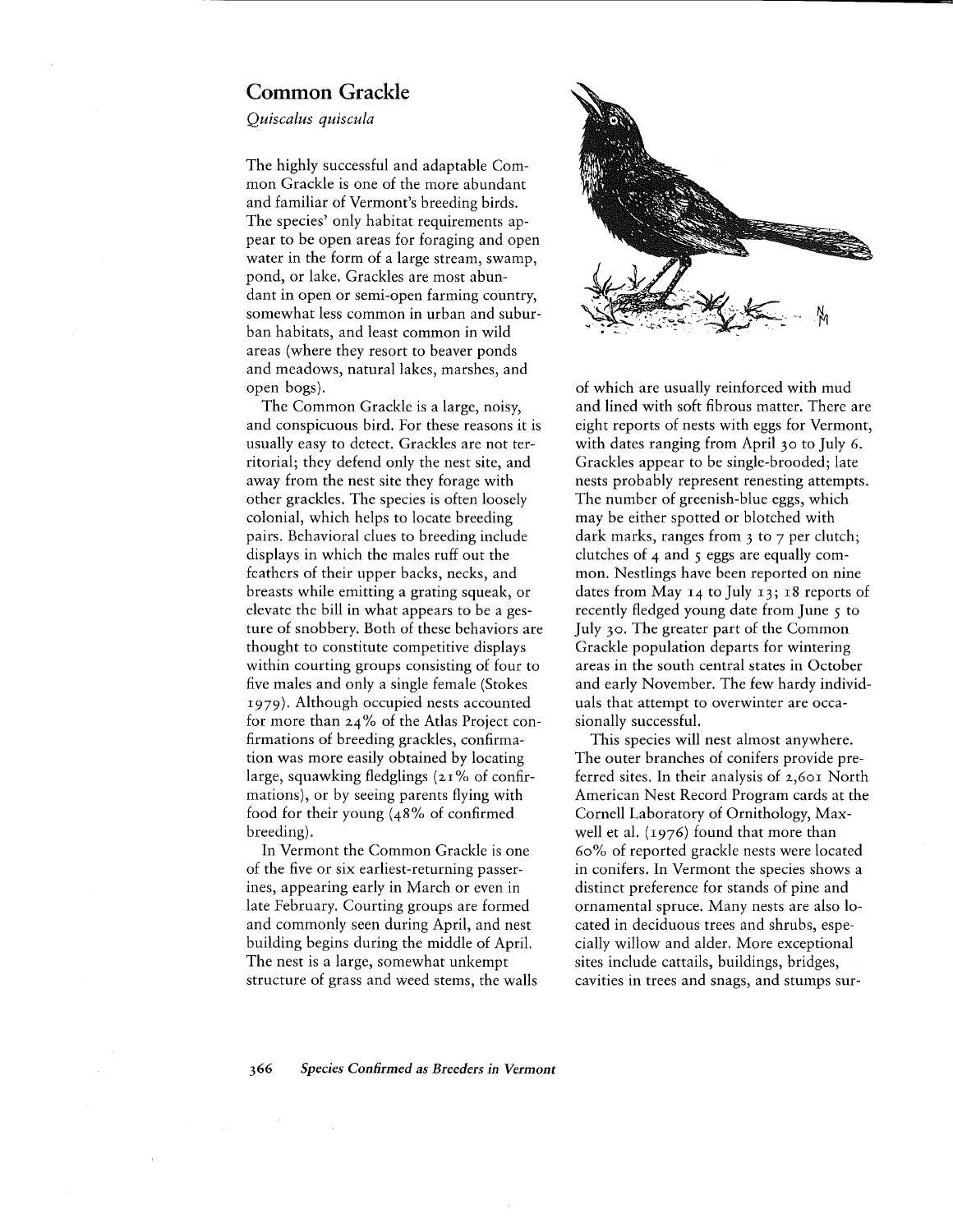## **Common Grackle**

*Quiscalus quiscula*

The highly successful and adaptable Common Grackle is one of the more abundant and familiar of Vermont's breeding birds. The species' only habitat requirements appear to be open areas for foraging and open water in the form of a large stream, swamp, pond, or lake. Grackles are most abundant in open or semi-open farming country, somewhat less common in urban and suburban habitats, and least common in wild areas (where they resort to beaver ponds and meadows, natural lakes, marshes, and open bogs).

The Common Grackle is a large, noisy, and conspicuous bird. For these reasons it is usually easy to detect. Grackles are not territorial; they defend only the nest site, and away from the nest site they forage with other grackles. The species is often loosely colonial, which helps to locate breeding pairs. Behavioral clues to breeding include displays in which the males ruff out the feathers of their upper backs, necks, and breasts while emitting a grating squeak, or elevate the bill in what appears to be a gesture of snobbery. Both of these behaviors are thought to constitute competitive displays within courting groups consisting of four to five males and only a single female (Stokes 1979). Although occupied nests accounted for more than 24% of the Atlas Project confirmations of breeding grackles, confirmation was more easily obtained by locating large, squawking fledglings  $(21\% \text{ of confirm})$ mations), or by seeing parents flying with food for their young (48% of confirmed breeding).

In Vermont the Common Grackle is one of the five or six earliest-returning passerines, appearing early in March or even in late February. Courting groups are formed and commonly seen during April, and nest building begins during the middle of April. The nest is a large, somewhat unkempt structure of grass and weed stems, the walls



of which are usually reinforced with mud and lined with soft fibrous matter. There are eight reports of nests with eggs for Vermont, with dates ranging from April 30 to July 6. Grackles appear to be single-brooded; late nests probably represent renesting attempts. The number of greenish-blue eggs, which may be either spotted or blotched with dark marks, ranges from 3 to 7 per clutch; clutches of  $4$  and  $5$  eggs are equally common. Nestlings have been reported on nine dates from May 14 to July 13; 18 reports of recently fledged young date from June 5 to July 30. The greater part of the Common Grackle population departs for wintering areas in the south central states in October and early November. The few hardy individuals that attempt to overwinter are occasionally successful.

This species will nest almost anywhere. The outer branches of conifers provide preferred sites. In their analysis of 2,601 North American Nest Record Program cards at the Cornell Laboratory of Ornithology, Maxwell et al.  $(1976)$  found that more than 60% of reported grackle nests were located in conifers. In Vermont the species shows a distinct preference for stands of pine and ornamental spruce. Many nests are also located in deciduous trees and shrubs, especially willow and alder. More exceptional sites include cattails, buildings, bridges, cavities in trees and snags, and stumps sur-

*366 Species Confirmed as Breeders in Vermont*